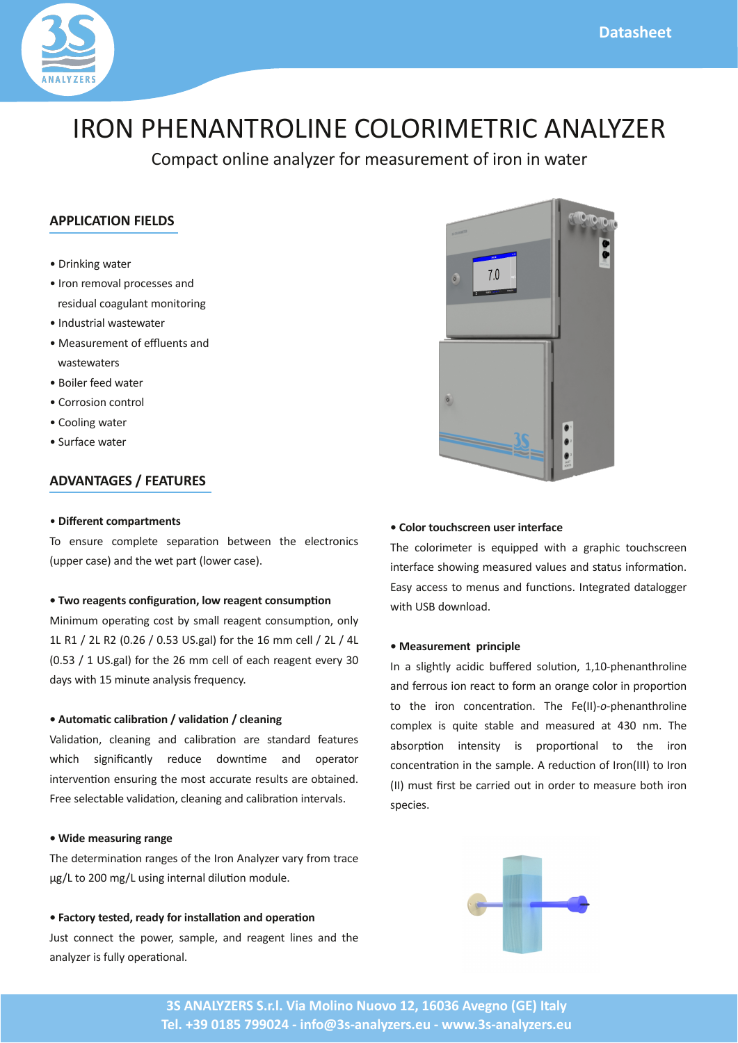+),  $0+*(\& * (67 + .) / 2) * 0+ 8+*( $\& 4 0$ .$ 

 $> .8'8$40.$  $> +^*$  ) +3 (, + // / \*  $.782 (+ $2( * 0) + $3 + .85)$  $>$  \* 2/0&(4 /04 0. >  $/2.$  )  $*0+$  "  $2*0*$  $4/040.1$  $> +\frac{2}{3}$ . 4 0.  $> + . + / & * + 0 + ($  $> +\frac{8}{34}$  0.  $> 2. 40.$ 

 $\mathfrak{B}$ 

 $>$  " (  $\%$  &\$ ' (\*\$ %) +  $*/2$  +  $)(0 /$ ,  $1+^*$  04 \* 0% (  $0+^*8/$  $2, 2, 1$  ( $\mathbb{Q}^*$  0% 4 0, 03, +4 . /  $\mathbb{Q}$ 

 $5.8($  %)  $8\%$ ,  $+8\%$  #&. ( %  $8\%$ ,  $\$$ '  $+8\%$  $\&$  \& 2) +, . 1\*\\$ +/0 \6 /) ((. \\$ \*0 +\*/2), 1+\*9+\*(6 D D<E E?CEI <CHF ;\$ (@+. 0% D ) ) ((<E <G **TCHF <D** ;\$(@+.0% E)) ((+ %. \$ \*0 3.6 FC 6/489%DH) 8:20  $*(6/8 - 2 * 6)$ 

5,  $*85 + # (+8\%3 - # +8\%3 + \%')$  $(8.1+8)$  (  $88$  \*  $(8.1+8)$  .  $(0)$  .  $(2.1)$  $4\%%$  / $\frac{4}{8}$  & \* Q6 . 2 + 4 \* 1) \* +, . 0+.  $&0.3$  \*1+\* \*/2.&\$0% ) +/0 2.0./2(0 + 0 & ; . / ( 0 ( 3 (& 1+\*9 ( \*&\$ \* (& 1+\* & 0 .3  $\ell$ );

5 " \$ ), ("% ( % % 0.) &  $1+$   $*$   $*$   $9/$  +  $0$   $*$   $*$   $*$  (67.3.6.+) 0 8\$< 0+ ECC) \$< 2/8\$80.\* (821+\*) + 2(;

5  $*8(7*)$  1( / 8( $*9*$  # +8% % 8' ( +8%)  $2/0$  +\*\*  $0.0\%$ , +4 .9/ ), (9 \* . \$ \*0 (& / \* 0% \*  $(67 \cdot 8 \cdot 2)(6+, \cdot 1+^*)$ 

5  $8#8(^{*}8,!)$  (  $\%$  ) (  $\%$  ) (  $\%$  (

% + (+.8): 0.8 - 28, 480% \$., % 0+2 %.  $*$  $&0.$  /%+4&\$) /2. 3 (2 / \* /0 02/ & +.) 1+\*;  $(6)$   $(1)$  O+  $)$   $*2$   $*2$   $2*1+<sup>*</sup>$ ;  $*0$  \$ 0 0 (+\$\$.  $48\% +4*(+$ 

5 ),  $($  \$ % ' ("%" #

\*  $. +2/8$ \*  $. 00 + 1$  \*  $+$  \* \$  $+(+. 8, .+,+.1 +$ \* 0+ 0% & +\* +\* \* 0 1+\*; % ?  $\circledast$  = %\* \* 0% + (&  $+)$ ,  $(5 & -20)$  /0  $(* )$  /2. 0 GFC \*); %  $/+, 1+^*$  & 0  $^*/$  & 66 & , .+, +.1+ $^*$  ( 0+ 0% & + $^*$  $+$  \*  $^*$  0 1+ \* & 0% / ), (; . 2 1+ \* + .+ \* ? @ + .+ \*  $?$  @ 2/0! ./0 ..& +20& +. . 0+ ) /2. +0%&+\*  $1, 8/$ ;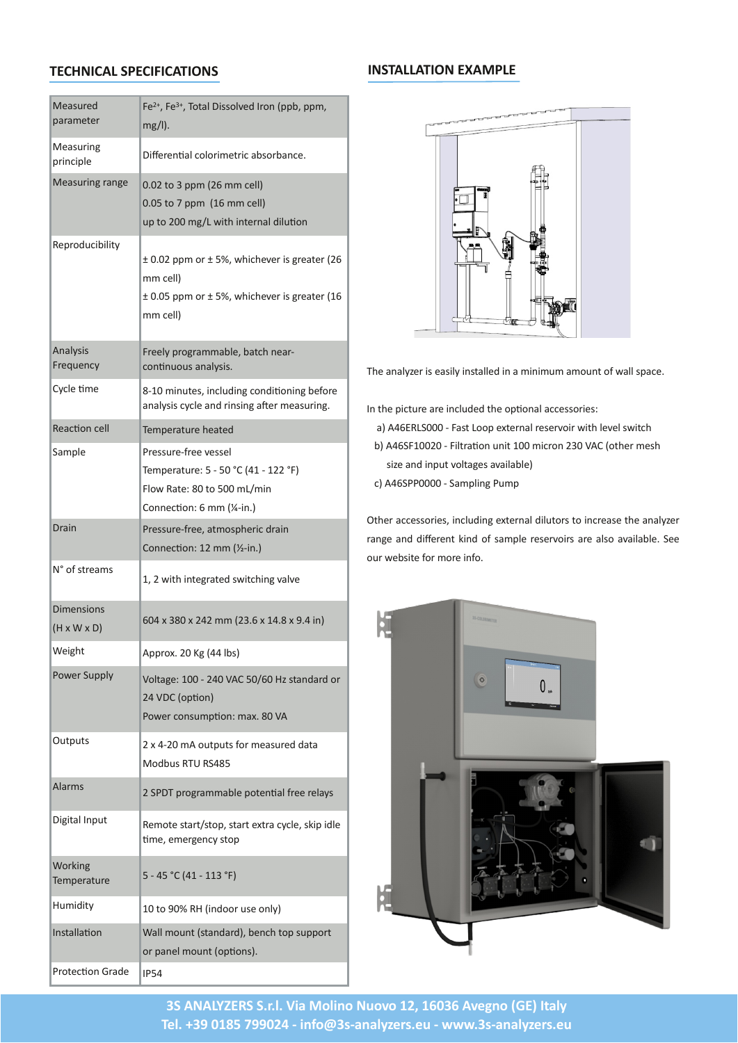| $/2$ .<br>$, \cdot) 0.$     | FP9 FP9 +0 ( $\frac{2}{3}$ +(3 .+*?, 9, ) 9<br>35(0)                                                                                |                                                                                                                                |
|-----------------------------|-------------------------------------------------------------------------------------------------------------------------------------|--------------------------------------------------------------------------------------------------------------------------------|
| $/2.8$ \$<br>$, .88$ (      | $8. *1 (+4.8 08/+. * ;$                                                                                                             |                                                                                                                                |
| $/2.8$ \$. $*$ \$           | $CCEO+F, , )$ $E)$ )<br>$\mathcal{C}(\mathcal{Q})$<br>$C(CHO+J, 0, 2I)$ ((@<br>2, 0+ ECC) \$< 4 \$0% \$0 .* ( \$21+*                |                                                                                                                                |
| $, + 28886$                 | $QCCE$ ,, $)$ + $QH$ $O94$ $%$ $%$ $3.8$ $%$ $0.7H$<br>) ) $((@)$<br>$QGCH,$ , ) + QHD94% $% 3.8$ \$. 0.70<br>) ) (( $@$            |                                                                                                                                |
| * $(6/8)$<br>$. -2 * 6$     | $(6, +\$ ) $(9, 0\%$ =<br>$+$ * 1* 2+2/ * (6/ &;                                                                                    | $%$ * (67. & / $\frac{8}{68}$ /0(( & ) & $\frac{3}{2}$ ) + 2*0 + 4 ((/, ;                                                      |
| 6(1)                        | K=CC) & 20/9& (2 & \$ +* & +* & \$ +.<br>* $(6/8.6($ * $.8/8$$ # .) /2.8\$;                                                         | * 0%, & 02. . & $(2 \t 0\t 0\t + 1 + t \t (1 + 8t)$ :                                                                          |
| $1 +^*$ ((                  | ), $\Omega$ , $\%$ 0                                                                                                                | $CCC = /0 +1, 50.* (. / .3 + 8.48\% (3) // 4.80\%$<br>@ G                                                                      |
| ), (                        | $. 1/2. = . 31/ ($<br>), $\Omega$ .: H=HCB $\Omega$ O=DEEB $\omega$<br>$(+4$ 0: KCO+ HCC) $\triangleleft$ &<br>+** 1+*: I) ) ?N=&;@ | DOCEC = $\{0, 1+^* 2^* 10000\} 1.4^* 10000$ = 7+0%.) /%<br>@ G<br>$/8$ * &, 203+(0\$/3& (@<br>$CCC = )$ , $(8.5 \t2)$ ,<br>@ G |
| . &                         | $1/2 = 90 + 0.8$ . &<br>+** 1+*:DE)) ?M=&;@                                                                                         | 0%. $1/+8/98$ (2 8\$ 50 .* (820+./0+8 . / 0% * (67 .<br>$.*$ \$ * & $.*0'$ & + / ), ( . / .3+&/ . (/+ 3 & (;                   |
| $B+ /0$ ) /                 | DOE4 &D%&0\$.0 /4 &0%&\$3 (3                                                                                                        | $+2.4$ /80 + + + 8 +;                                                                                                          |
| $x^*/x^*/$<br>? 5 5 @       | ICG5FKC5EGE) ) ?EF;I 5DGK5L;G& @                                                                                                    |                                                                                                                                |
| \$%                         | ,, .+5; EC $$7GG$ ( $/@$                                                                                                            |                                                                                                                                |
| $+4$ . 2, , (6              | $+(0$ \$ : DCC=EGC HCd C 7/0 $*$ . +.<br>EG $2+$ , $1+$ * @<br>$+4$ . $+^*/2$ ), $1+^*$ : ) 5; KC                                   |                                                                                                                                |
| 20, 20                      | $E5GEC$ ) $+20,20$ +.) /2.<br>$\mathbf 0$<br>$+2/$<br>GKH                                                                           |                                                                                                                                |
| $( . )$ /                   | , .+\$. ) ) ( , +0 $*$ 1 ( (6/<br>E.                                                                                                |                                                                                                                                |
| $$0 (+, 20)$                | $(9/8.8)$ +0 /0.0 $\div$ 0.9 9/0.0 50 6 (9/' & 8 (<br>1) 9) $.$ \$ $*$ 6/0+,                                                        |                                                                                                                                |
| $+.$ ' &\$<br>), $\Omega$ . | H=GHB ?GD=DDFB@                                                                                                                     |                                                                                                                                |
| $2)$ & & 66                 | DC0+LOO $\frac{1}{2}$ + +. 2/ + * (6 $\textcircled{2}$                                                                              |                                                                                                                                |
| */0 $(1 +$ *                | (() $+2*070*$ . @ * %0+, /2, , +.0<br>+., $*( ) +2*0?+, 1+*/@$                                                                      |                                                                                                                                |
| $. +0 +^*$ .                | HG.                                                                                                                                 |                                                                                                                                |